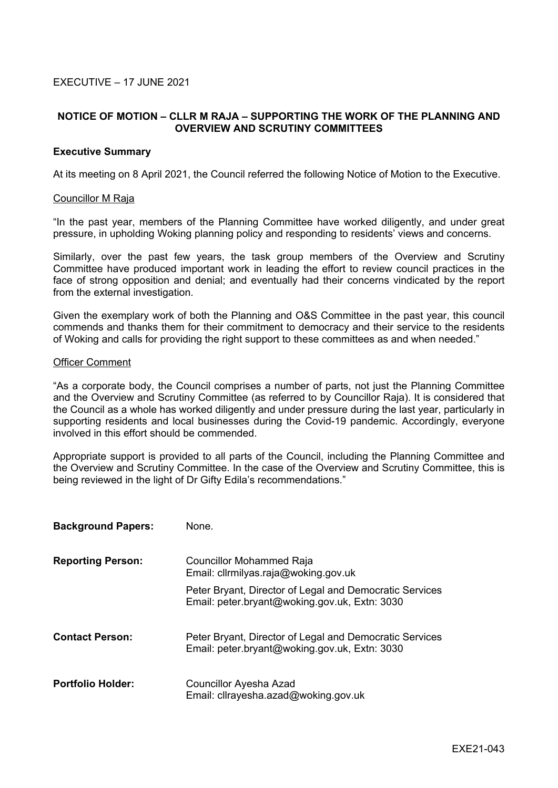## **NOTICE OF MOTION – CLLR M RAJA – SUPPORTING THE WORK OF THE PLANNING AND OVERVIEW AND SCRUTINY COMMITTEES**

## **Executive Summary**

At its meeting on 8 April 2021, the Council referred the following Notice of Motion to the Executive.

## Councillor M Raja

"In the past year, members of the Planning Committee have worked diligently, and under great pressure, in upholding Woking planning policy and responding to residents' views and concerns.

Similarly, over the past few years, the task group members of the Overview and Scrutiny Committee have produced important work in leading the effort to review council practices in the face of strong opposition and denial; and eventually had their concerns vindicated by the report from the external investigation.

Given the exemplary work of both the Planning and O&S Committee in the past year, this council commends and thanks them for their commitment to democracy and their service to the residents of Woking and calls for providing the right support to these committees as and when needed."

## Officer Comment

"As a corporate body, the Council comprises a number of parts, not just the Planning Committee and the Overview and Scrutiny Committee (as referred to by Councillor Raja). It is considered that the Council as a whole has worked diligently and under pressure during the last year, particularly in supporting residents and local businesses during the Covid-19 pandemic. Accordingly, everyone involved in this effort should be commended.

Appropriate support is provided to all parts of the Council, including the Planning Committee and the Overview and Scrutiny Committee. In the case of the Overview and Scrutiny Committee, this is being reviewed in the light of Dr Gifty Edila's recommendations."

| <b>Background Papers:</b> | None.                                                                                                    |
|---------------------------|----------------------------------------------------------------------------------------------------------|
| <b>Reporting Person:</b>  | Councillor Mohammed Raja<br>Email: clirmilyas.raja@woking.gov.uk                                         |
|                           | Peter Bryant, Director of Legal and Democratic Services<br>Email: peter.bryant@woking.gov.uk, Extn: 3030 |
| <b>Contact Person:</b>    | Peter Bryant, Director of Legal and Democratic Services<br>Email: peter.bryant@woking.gov.uk, Extn: 3030 |
| <b>Portfolio Holder:</b>  | <b>Councillor Ayesha Azad</b><br>Email: cllrayesha.azad@woking.gov.uk                                    |